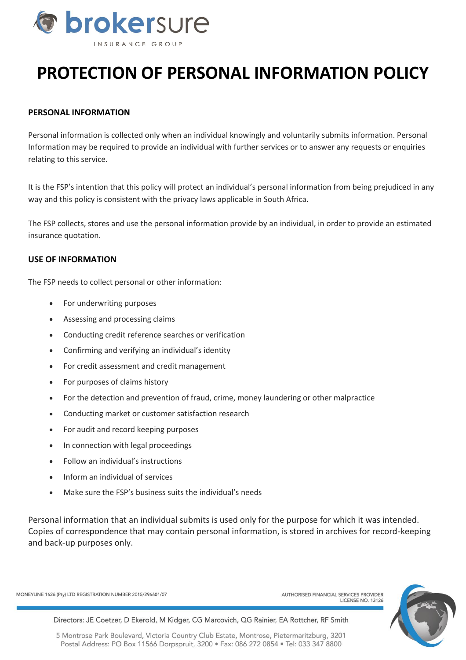

# **PROTECTION OF PERSONAL INFORMATION POLICY**

## **PERSONAL INFORMATION**

Personal information is collected only when an individual knowingly and voluntarily submits information. Personal Information may be required to provide an individual with further services or to answer any requests or enquiries relating to this service.

It is the FSP's intention that this policy will protect an individual's personal information from being prejudiced in any way and this policy is consistent with the privacy laws applicable in South Africa.

The FSP collects, stores and use the personal information provide by an individual, in order to provide an estimated insurance quotation.

#### **USE OF INFORMATION**

The FSP needs to collect personal or other information:

- For underwriting purposes
- Assessing and processing claims
- Conducting credit reference searches or verification
- Confirming and verifying an individual's identity
- For credit assessment and credit management
- For purposes of claims history
- For the detection and prevention of fraud, crime, money laundering or other malpractice
- Conducting market or customer satisfaction research
- For audit and record keeping purposes
- In connection with legal proceedings
- Follow an individual's instructions
- Inform an individual of services
- Make sure the FSP's business suits the individual's needs

Personal information that an individual submits is used only for the purpose for which it was intended. Copies of correspondence that may contain personal information, is stored in archives for record-keeping and back-up purposes only.

MONEYLINE 1626 (Pty) LTD REGISTRATION NUMBER 2015/296601/07

AUTHORISED FINANCIAL SERVICES PROVIDER **LICENSE NO. 13126** 



Directors: JE Coetzer, D Ekerold, M Kidger, CG Marcovich, QG Rainier, EA Rottcher, RF Smith

5 Montrose Park Boulevard, Victoria Country Club Estate, Montrose, Pietermaritzburg, 3201 Postal Address: PO Box 11566 Dorpspruit, 3200 • Fax: 086 272 0854 • Tel: 033 347 8800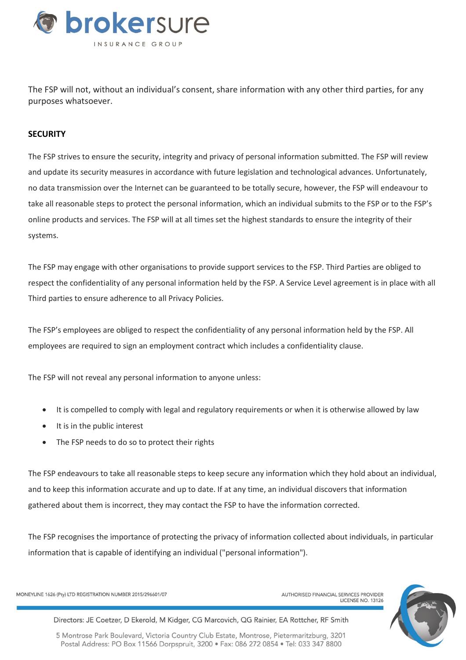

The FSP will not, without an individual's consent, share information with any other third parties, for any purposes whatsoever.

### **SECURITY**

The FSP strives to ensure the security, integrity and privacy of personal information submitted. The FSP will review and update its security measures in accordance with future legislation and technological advances. Unfortunately, no data transmission over the Internet can be guaranteed to be totally secure, however, the FSP will endeavour to take all reasonable steps to protect the personal information, which an individual submits to the FSP or to the FSP's online products and services. The FSP will at all times set the highest standards to ensure the integrity of their systems.

The FSP may engage with other organisations to provide support services to the FSP. Third Parties are obliged to respect the confidentiality of any personal information held by the FSP. A Service Level agreement is in place with all Third parties to ensure adherence to all Privacy Policies.

The FSP's employees are obliged to respect the confidentiality of any personal information held by the FSP. All employees are required to sign an employment contract which includes a confidentiality clause.

The FSP will not reveal any personal information to anyone unless:

- It is compelled to comply with legal and regulatory requirements or when it is otherwise allowed by law
- It is in the public interest
- The FSP needs to do so to protect their rights

The FSP endeavours to take all reasonable steps to keep secure any information which they hold about an individual, and to keep this information accurate and up to date. If at any time, an individual discovers that information gathered about them is incorrect, they may contact the FSP to have the information corrected.

The FSP recognises the importance of protecting the privacy of information collected about individuals, in particular information that is capable of identifying an individual ("personal information").

MONEYLINE 1626 (Pty) LTD REGISTRATION NUMBER 2015/296601/07



Directors: JE Coetzer, D Ekerold, M Kidger, CG Marcovich, QG Rainier, EA Rottcher, RF Smith

5 Montrose Park Boulevard, Victoria Country Club Estate, Montrose, Pietermaritzburg, 3201 Postal Address: PO Box 11566 Dorpspruit, 3200 • Fax: 086 272 0854 • Tel: 033 347 8800